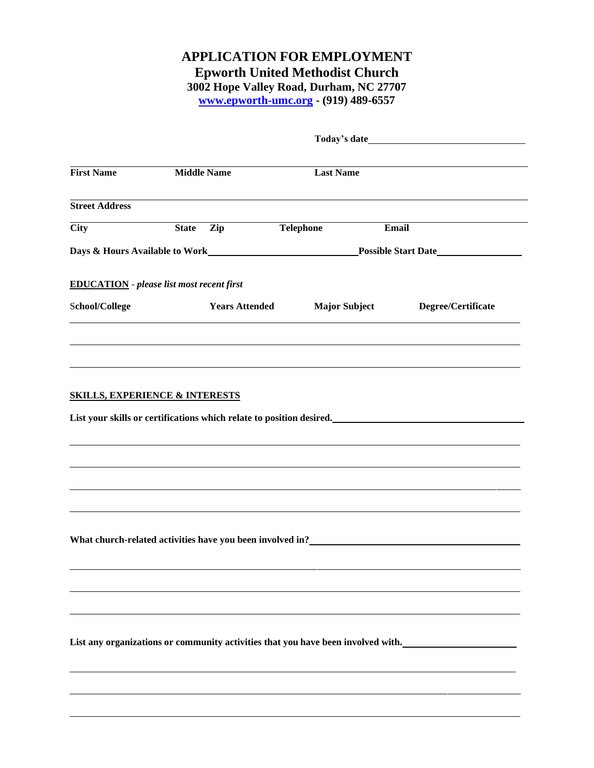## **APPLICATION FOR EMPLOYMENT Epworth United Methodist Church 3002 Hope Valley Road, Durham, NC 27707**

**[www.epworth-umc.org](http://www.epworth-umc.org/) - (919) 489-6557**

| <b>First Name</b>                                | <b>Middle Name</b> |                                                                                                                | <b>Last Name</b>     |                                                                                                                                                                                                                                  |
|--------------------------------------------------|--------------------|----------------------------------------------------------------------------------------------------------------|----------------------|----------------------------------------------------------------------------------------------------------------------------------------------------------------------------------------------------------------------------------|
| <b>Street Address</b>                            |                    |                                                                                                                |                      |                                                                                                                                                                                                                                  |
| <b>City</b>                                      | <b>State</b>       | Zip and the set of the set of the set of the set of the set of the set of the set of the set of the set of the | <b>Telephone</b>     | <b>Email</b>                                                                                                                                                                                                                     |
|                                                  |                    |                                                                                                                |                      | Days & Hours Available to Work <b>Solution Access 1986</b> Possible Start Date <b>Solution Possible Start Date</b>                                                                                                               |
| <b>EDUCATION</b> - please list most recent first |                    |                                                                                                                |                      |                                                                                                                                                                                                                                  |
| School/College                                   |                    | <b>Years Attended</b>                                                                                          | <b>Major Subject</b> | Degree/Certificate                                                                                                                                                                                                               |
|                                                  |                    |                                                                                                                |                      |                                                                                                                                                                                                                                  |
|                                                  |                    |                                                                                                                |                      |                                                                                                                                                                                                                                  |
|                                                  |                    |                                                                                                                |                      |                                                                                                                                                                                                                                  |
| <b>SKILLS, EXPERIENCE &amp; INTERESTS</b>        |                    |                                                                                                                |                      |                                                                                                                                                                                                                                  |
|                                                  |                    |                                                                                                                |                      | List your skills or certifications which relate to position desired.<br>List your skills or certifications which relate to position desired.                                                                                     |
|                                                  |                    |                                                                                                                |                      |                                                                                                                                                                                                                                  |
|                                                  |                    |                                                                                                                |                      |                                                                                                                                                                                                                                  |
|                                                  |                    |                                                                                                                |                      |                                                                                                                                                                                                                                  |
|                                                  |                    |                                                                                                                |                      |                                                                                                                                                                                                                                  |
|                                                  |                    |                                                                                                                |                      |                                                                                                                                                                                                                                  |
|                                                  |                    |                                                                                                                |                      |                                                                                                                                                                                                                                  |
|                                                  |                    |                                                                                                                |                      | What church-related activities have you been involved in?<br>The same state of the state of the state of the state of the state of the state of the state of the state of the state of the state of the state of the state of th |
|                                                  |                    |                                                                                                                |                      |                                                                                                                                                                                                                                  |
|                                                  |                    |                                                                                                                |                      |                                                                                                                                                                                                                                  |
|                                                  |                    |                                                                                                                |                      |                                                                                                                                                                                                                                  |
|                                                  |                    |                                                                                                                |                      |                                                                                                                                                                                                                                  |
|                                                  |                    |                                                                                                                |                      |                                                                                                                                                                                                                                  |
|                                                  |                    |                                                                                                                |                      | List any organizations or community activities that you have been involved with.                                                                                                                                                 |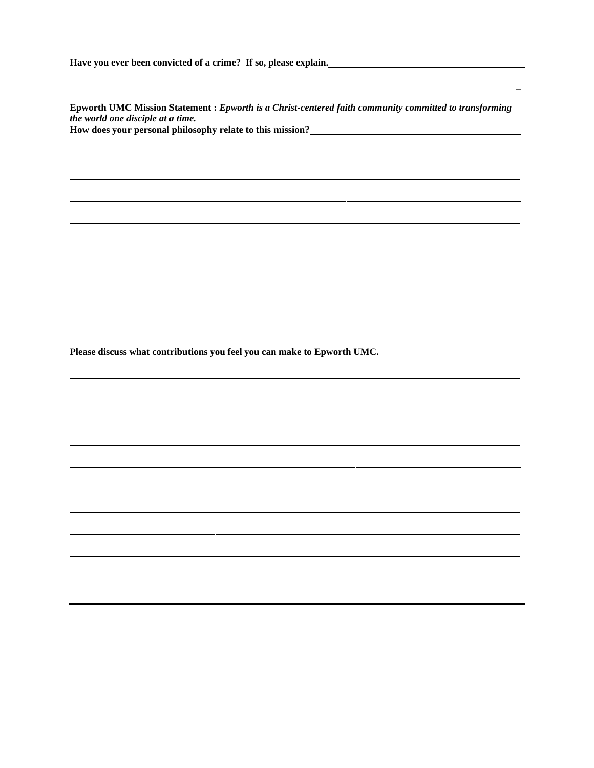**Have you ever been convicted of a crime? If so, please explain.**

**Epworth UMC Mission Statement :** *Epworth is a Christ-centered faith community committed to transforming the world one disciple at a time.* **How does your personal philosophy relate to this mission?**

**\_**

**Please discuss what contributions you feel you can make to Epworth UMC.**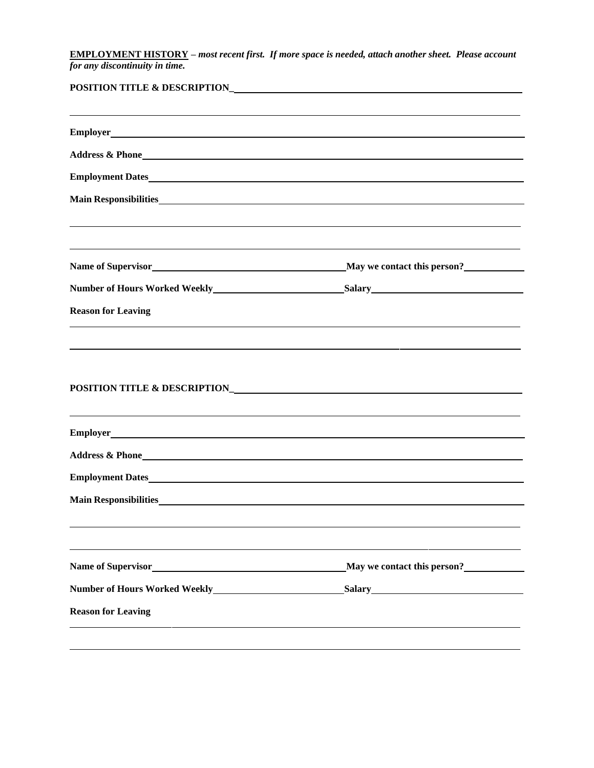**EMPLOYMENT HISTORY –** *most recent first. If more space is needed, attach another sheet. Please account for any discontinuity in time.*

| <b>POSITION TITLE &amp; DESCRIPTION_</b>                                                                                                                                                                                            |                             |  |  |  |
|-------------------------------------------------------------------------------------------------------------------------------------------------------------------------------------------------------------------------------------|-----------------------------|--|--|--|
|                                                                                                                                                                                                                                     |                             |  |  |  |
|                                                                                                                                                                                                                                     |                             |  |  |  |
| Employment Dates                                                                                                                                                                                                                    |                             |  |  |  |
|                                                                                                                                                                                                                                     |                             |  |  |  |
|                                                                                                                                                                                                                                     |                             |  |  |  |
|                                                                                                                                                                                                                                     |                             |  |  |  |
| <b>Reason for Leaving</b>                                                                                                                                                                                                           |                             |  |  |  |
|                                                                                                                                                                                                                                     |                             |  |  |  |
| Address & Phone <b>Manual Community</b> Contract to the Second Community Community Community Community Community Community Community Community Community Community Community Community Community Community Community Community Comm |                             |  |  |  |
| <b>Employment Dates</b>                                                                                                                                                                                                             |                             |  |  |  |
| <b>Main Responsibilities</b> Main Responsibilities                                                                                                                                                                                  |                             |  |  |  |
| Name of Supervisor<br><u> 1980 - Jan James James Barbara, martxa a fizikar a shekara 1980 - Andrew Start Barbara (</u>                                                                                                              | May we contact this person? |  |  |  |
| <b>Number of Hours Worked Weekly_</b>                                                                                                                                                                                               | <u>Salary Salary</u>        |  |  |  |
| <b>Reason for Leaving</b>                                                                                                                                                                                                           |                             |  |  |  |
|                                                                                                                                                                                                                                     |                             |  |  |  |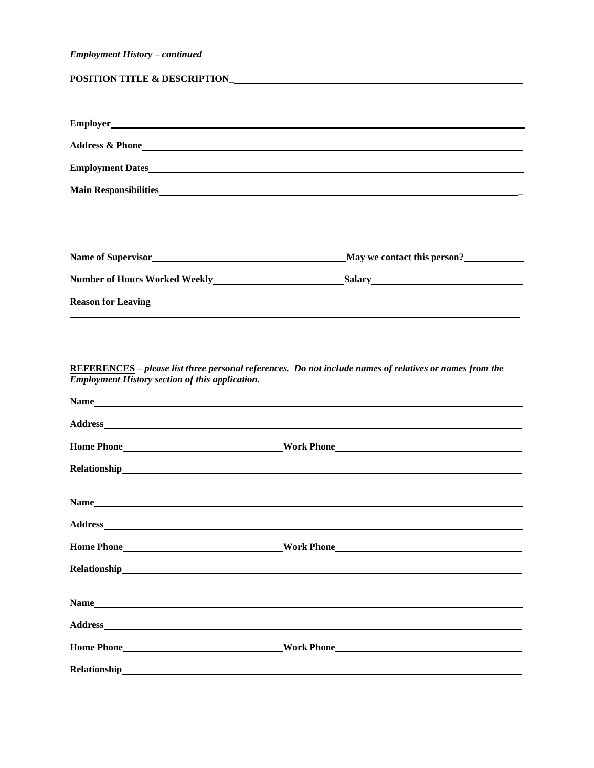## *Employment History – continued*

| Main Responsibilities                                                                                               |
|---------------------------------------------------------------------------------------------------------------------|
|                                                                                                                     |
| <u> 1999 - Andrea San Andrea San Andrea San Andrea San Andrea San Andrea San Andrea San Andrea San Andrea San A</u> |
|                                                                                                                     |
|                                                                                                                     |
|                                                                                                                     |
|                                                                                                                     |
|                                                                                                                     |

**REFERENCES –** *please list three personal references. Do not include names of relatives or names from the Employment History section of this application.*

| Name                                                                                                                                                                                                                           |
|--------------------------------------------------------------------------------------------------------------------------------------------------------------------------------------------------------------------------------|
|                                                                                                                                                                                                                                |
|                                                                                                                                                                                                                                |
|                                                                                                                                                                                                                                |
|                                                                                                                                                                                                                                |
| Name experience and the contract of the contract of the contract of the contract of the contract of the contract of the contract of the contract of the contract of the contract of the contract of the contract of the contra |
|                                                                                                                                                                                                                                |
| Home Phone North Phone North Phone North Phone North Phone North Phone North Phone North Phone North Phone North Phone North Phone North Phone North Phone North Phone North Phone North Phone North Phone North Phone North P |
|                                                                                                                                                                                                                                |
|                                                                                                                                                                                                                                |